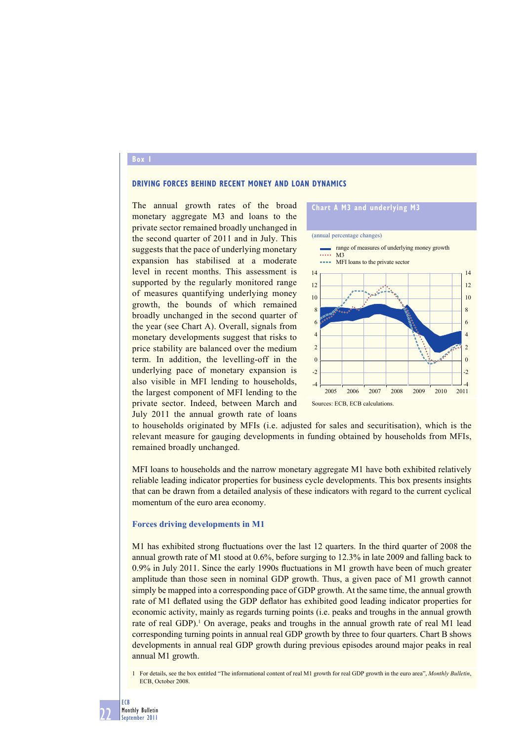### **Box 1**

## **DRIVING FORCES BEHIND RECENT MONEY AND LOAN DYNAMICS**

The annual growth rates of the broad monetary aggregate M3 and loans to the private sector remained broadly unchanged in the second quarter of 2011 and in July. This suggests that the pace of underlying monetary expansion has stabilised at a moderate level in recent months. This assessment is supported by the regularly monitored range of measures quantifying underlying money growth, the bounds of which remained broadly unchanged in the second quarter of the year (see Chart A). Overall, signals from monetary developments suggest that risks to price stability are balanced over the medium term. In addition, the levelling-off in the underlying pace of monetary expansion is also visible in MFI lending to households, the largest component of MFI lending to the private sector. Indeed, between March and July 2011 the annual growth rate of loans



to households originated by MFIs (i.e. adjusted for sales and securitisation), which is the relevant measure for gauging developments in funding obtained by households from MFIs, remained broadly unchanged.

MFI loans to households and the narrow monetary aggregate M1 have both exhibited relatively reliable leading indicator properties for business cycle developments. This box presents insights that can be drawn from a detailed analysis of these indicators with regard to the current cyclical momentum of the euro area economy.

#### **Forces driving developments in M1**

M1 has exhibited strong fluctuations over the last 12 quarters. In the third quarter of 2008 the annual growth rate of M1 stood at 0.6%, before surging to 12.3% in late 2009 and falling back to  $0.9\%$  in July 2011. Since the early 1990s fluctuations in M1 growth have been of much greater amplitude than those seen in nominal GDP growth. Thus, a given pace of M1 growth cannot simply be mapped into a corresponding pace of GDP growth. At the same time, the annual growth rate of M1 deflated using the GDP deflator has exhibited good leading indicator properties for economic activity, mainly as regards turning points (i.e. peaks and troughs in the annual growth rate of real GDP).<sup>1</sup> On average, peaks and troughs in the annual growth rate of real M1 lead corresponding turning points in annual real GDP growth by three to four quarters. Chart B shows developments in annual real GDP growth during previous episodes around major peaks in real annual M1 growth.

1 For details, see the box entitled "The informational content of real M1 growth for real GDP growth in the euro area", *Monthly Bulletin*, ECB, October 2008.

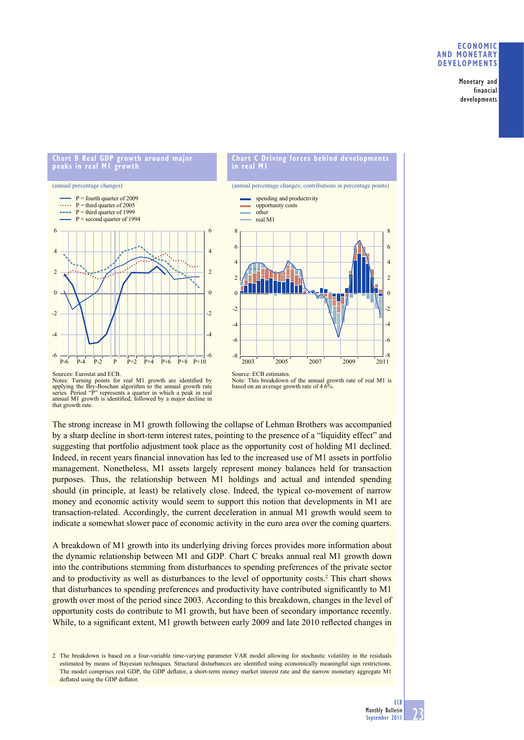## **ECONOMIC AND MONETARY DEVELOPMENTS**

**Monetary and financial developments**





Notes: Turning points for real M1 growth are identified by applying the Bry-Boschan algorithm to the annual growth rate series. Period "P" represents a quarter in which a peak in real annual M1 growth is identified, followed by a major decline in that growth rate. Source: ECB estimates. Note: This breakdown of the annual growth rate of real M1 is based on an average growth rate of 4.6%.

The strong increase in M1 growth following the collapse of Lehman Brothers was accompanied by a sharp decline in short-term interest rates, pointing to the presence of a "liquidity effect" and suggesting that portfolio adjustment took place as the opportunity cost of holding M1 declined. Indeed, in recent years financial innovation has led to the increased use of M1 assets in portfolio management. Nonetheless, M1 assets largely represent money balances held for transaction purposes. Thus, the relationship between M1 holdings and actual and intended spending should (in principle, at least) be relatively close. Indeed, the typical co-movement of narrow money and economic activity would seem to support this notion that developments in M1 are transaction-related. Accordingly, the current deceleration in annual M1 growth would seem to indicate a somewhat slower pace of economic activity in the euro area over the coming quarters.

A breakdown of M1 growth into its underlying driving forces provides more information about the dynamic relationship between M1 and GDP. Chart C breaks annual real M1 growth down into the contributions stemming from disturbances to spending preferences of the private sector and to productivity as well as disturbances to the level of opportunity costs.<sup>2</sup> This chart shows that disturbances to spending preferences and productivity have contributed significantly to M1 growth over most of the period since 2003. According to this breakdown, changes in the level of opportunity costs do contribute to M1 growth, but have been of secondary importance recently. While, to a significant extent, M1 growth between early 2009 and late 2010 reflected changes in

2 The breakdown is based on a four-variable time-varying parameter VAR model allowing for stochastic volatility in the residuals estimated by means of Bayesian techniques. Structural disturbances are identified using economically meaningful sign restrictions. The model comprises real GDP, the GDP deflator, a short-term money market interest rate and the narrow monetary aggregate M1 deflated using the GDP deflator.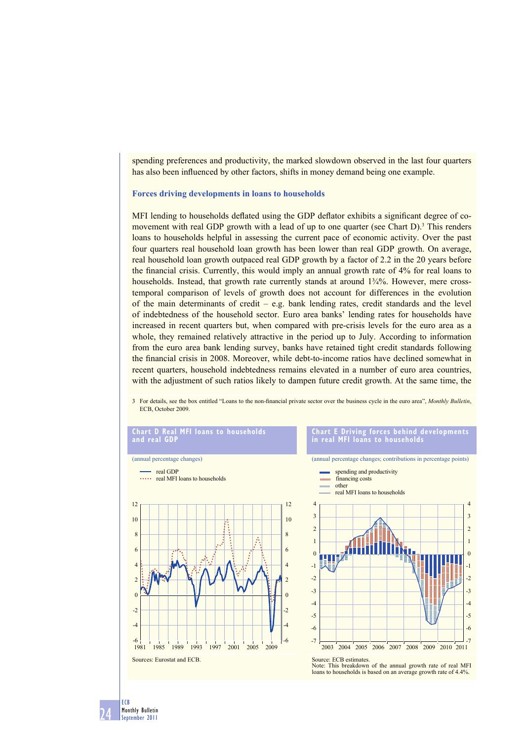spending preferences and productivity, the marked slowdown observed in the last four quarters has also been influenced by other factors, shifts in money demand being one example.

#### **Forces driving developments in loans to households**

MFI lending to households deflated using the GDP deflator exhibits a significant degree of comovement with real GDP growth with a lead of up to one quarter (see Chart D).<sup>3</sup> This renders loans to households helpful in assessing the current pace of economic activity. Over the past four quarters real household loan growth has been lower than real GDP growth. On average, real household loan growth outpaced real GDP growth by a factor of 2.2 in the 20 years before the financial crisis. Currently, this would imply an annual growth rate of 4% for real loans to households. Instead, that growth rate currently stands at around 1¾%. However, mere crosstemporal comparison of levels of growth does not account for differences in the evolution of the main determinants of credit – e.g. bank lending rates, credit standards and the level of indebtedness of the household sector. Euro area banks' lending rates for households have increased in recent quarters but, when compared with pre-crisis levels for the euro area as a whole, they remained relatively attractive in the period up to July. According to information from the euro area bank lending survey, banks have retained tight credit standards following the financial crisis in 2008. Moreover, while debt-to-income ratios have declined somewhat in recent quarters, household indebtedness remains elevated in a number of euro area countries, with the adjustment of such ratios likely to dampen future credit growth. At the same time, the

3 For details, see the box entitled "Loans to the non-financial private sector over the business cycle in the euro area", *Monthly Bulletin*, ECB, October 2009.

#### **Chart D Real MFI loans to households and real GDP**



#### **Chart E Driving forces behind developments in real MFI loans to households**

(annual percentage changes; contributions in percentage points)



Note: This breakdown of the annual growth rate of real MFI loans to households is based on an average growth rate of 4.4%.